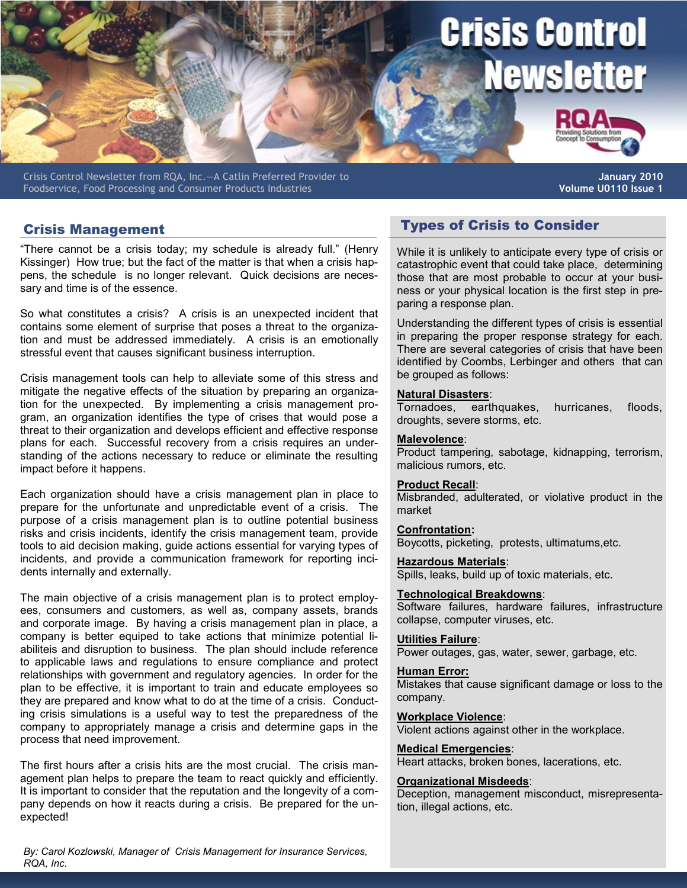# Crisis Control **Newsletter**

Crisis Control Newsletter from RQA, Inc.—A Catlin Preferred Provider to Foodservice, Food Processing and Consumer Products Industries

**January 2010 Volume U0110 Issue 1**

"There cannot be a crisis today; my schedule is already full." (Henry Kissinger) How true; but the fact of the matter is that when a crisis happens, the schedule is no longer relevant. Quick decisions are necessary and time is of the essence.

So what constitutes a crisis? A crisis is an unexpected incident that contains some element of surprise that poses a threat to the organization and must be addressed immediately. A crisis is an emotionally stressful event that causes significant business interruption.

Crisis management tools can help to alleviate some of this stress and mitigate the negative effects of the situation by preparing an organization for the unexpected. By implementing a crisis management program, an organization identifies the type of crises that would pose a threat to their organization and develops efficient and effective response plans for each. Successful recovery from a crisis requires an understanding of the actions necessary to reduce or eliminate the resulting impact before it happens.

Each organization should have a crisis management plan in place to prepare for the unfortunate and unpredictable event of a crisis. The purpose of a crisis management plan is to outline potential business risks and crisis incidents, identify the crisis management team, provide tools to aid decision making, guide actions essential for varying types of incidents, and provide a communication framework for reporting incidents internally and externally.

The main objective of a crisis management plan is to protect employees, consumers and customers, as well as, company assets, brands and corporate image. By having a crisis management plan in place, a company is better equiped to take actions that minimize potential liabiliteis and disruption to business. The plan should include reference to applicable laws and regulations to ensure compliance and protect relationships with government and regulatory agencies. In order for the plan to be effective, it is important to train and educate employees so they are prepared and know what to do at the time of a crisis. Conducting crisis simulations is a useful way to test the preparedness of the company to appropriately manage a crisis and determine gaps in the process that need improvement.

The first hours after a crisis hits are the most crucial. The crisis management plan helps to prepare the team to react quickly and efficiently. It is important to consider that the reputation and the longevity of a company depends on how it reacts during a crisis. Be prepared for the unexpected!

Crisis Management Types of Crisis to Consider

While it is unlikely to anticipate every type of crisis or catastrophic event that could take place, determining those that are most probable to occur at your business or your physical location is the first step in preparing a response plan.

Understanding the different types of crisis is essential in preparing the proper response strategy for each. There are several categories of crisis that have been identified by Coombs, Lerbinger and others that can be grouped as follows:

## **Natural Disasters**:

Tornadoes, earthquakes, hurricanes, floods, droughts, severe storms, etc.

#### **Malevolence**:

Product tampering, sabotage, kidnapping, terrorism, malicious rumors, etc.

#### **Product Recall**:

Misbranded, adulterated, or violative product in the market

### **Confrontation:**

Boycotts, picketing, protests, ultimatums,etc.

**Hazardous Materials**: Spills, leaks, build up of toxic materials, etc.

#### **Technological Breakdowns**:

Software failures, hardware failures, infrastructure collapse, computer viruses, etc.

#### **Utilities Failure**:

Power outages, gas, water, sewer, garbage, etc.

#### **Human Error:**

Mistakes that cause significant damage or loss to the company.

#### **Workplace Violence**:

Violent actions against other in the workplace.

#### **Medical Emergencies**:

Heart attacks, broken bones, lacerations, etc.

#### **Organizational Misdeeds**:

Deception, management misconduct, misrepresentation, illegal actions, etc.

*By: Carol Kozlowski, Manager of Crisis Management for Insurance Services, RQA, Inc.*